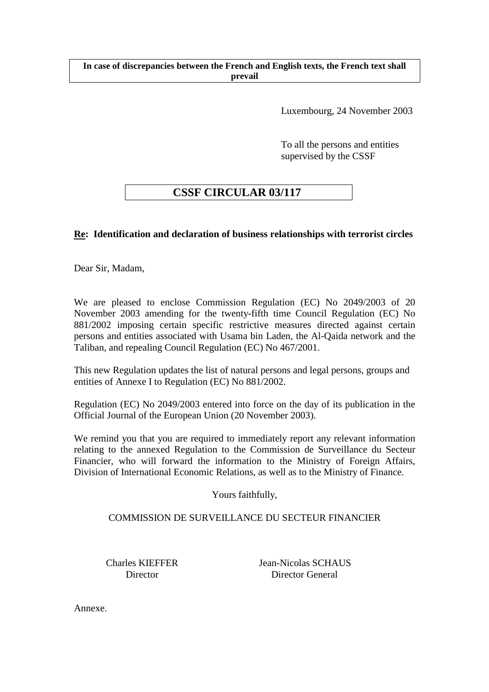### **In case of discrepancies between the French and English texts, the French text shall prevail**

Luxembourg, 24 November 2003

To all the persons and entities supervised by the CSSF

# **CSSF CIRCULAR 03/117**

# **Re: Identification and declaration of business relationships with terrorist circles**

Dear Sir, Madam,

We are pleased to enclose Commission Regulation (EC) No 2049/2003 of 20 November 2003 amending for the twenty-fifth time Council Regulation (EC) No 881/2002 imposing certain specific restrictive measures directed against certain persons and entities associated with Usama bin Laden, the Al-Qaida network and the Taliban, and repealing Council Regulation (EC) No 467/2001.

This new Regulation updates the list of natural persons and legal persons, groups and entities of Annexe I to Regulation (EC) No 881/2002.

Regulation (EC) No 2049/2003 entered into force on the day of its publication in the Official Journal of the European Union (20 November 2003).

We remind you that you are required to immediately report any relevant information relating to the annexed Regulation to the Commission de Surveillance du Secteur Financier, who will forward the information to the Ministry of Foreign Affairs, Division of International Economic Relations, as well as to the Ministry of Finance.

Yours faithfully,

## COMMISSION DE SURVEILLANCE DU SECTEUR FINANCIER

 Charles KIEFFER Jean-Nicolas SCHAUS Director Director General

Annexe.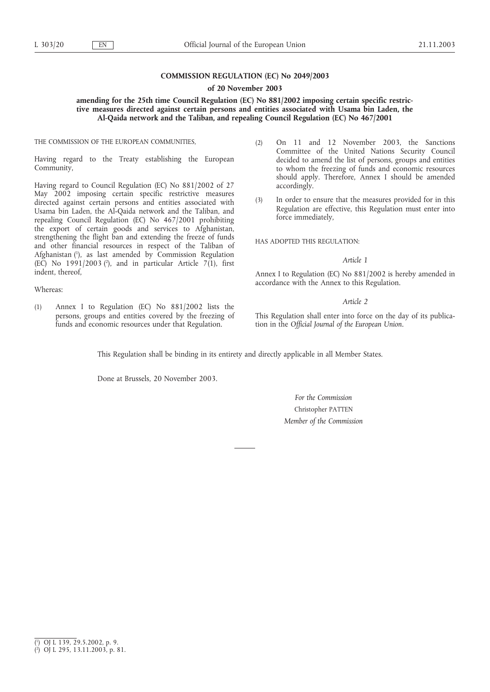### **COMMISSION REGULATION (EC) No 2049/2003**

#### **of 20 November 2003**

### **amending for the 25th time Council Regulation (EC) No 881/2002 imposing certain specific restrictive measures directed against certain persons and entities associated with Usama bin Laden, the Al-Qaida network and the Taliban, and repealing Council Regulation (EC) No 467/2001**

THE COMMISSION OF THE EUROPEAN COMMUNITIES,

Having regard to the Treaty establishing the European Community,

Having regard to Council Regulation (EC) No 881/2002 of 27 May 2002 imposing certain specific restrictive measures directed against certain persons and entities associated with Usama bin Laden, the Al-Qaida network and the Taliban, and repealing Council Regulation (EC) No 467/2001 prohibiting the export of certain goods and services to Afghanistan, strengthening the flight ban and extending the freeze of funds and other financial resources in respect of the Taliban of Afghanistan (1), as last amended by Commission Regulation (EC) No  $1991/2003$  ( $^2$ ), and in particular Article 7(1), first indent, thereof,

Whereas:

(1) Annex I to Regulation (EC) No 881/2002 lists the persons, groups and entities covered by the freezing of funds and economic resources under that Regulation.

- (2) On 11 and 12 November 2003, the Sanctions Committee of the United Nations Security Council decided to amend the list of persons, groups and entities to whom the freezing of funds and economic resources should apply. Therefore, Annex I should be amended accordingly.
- (3) In order to ensure that the measures provided for in this Regulation are effective, this Regulation must enter into force immediately,

HAS ADOPTED THIS REGULATION.

#### *Article 1*

Annex I to Regulation (EC) No 881/2002 is hereby amended in accordance with the Annex to this Regulation.

#### *Article 2*

This Regulation shall enter into force on the day of its publication in the *Official Journal of the European Union*.

This Regulation shall be binding in its entirety and directly applicable in all Member States.

Done at Brussels, 20 November 2003.

*For the Commission* Christopher PATTEN *Member of the Commission*

<sup>(</sup> 1 ) OJ L 139, 29.5.2002, p. 9.

<sup>(</sup> 2 ) OJ L 295, 13.11.2003, p. 81.